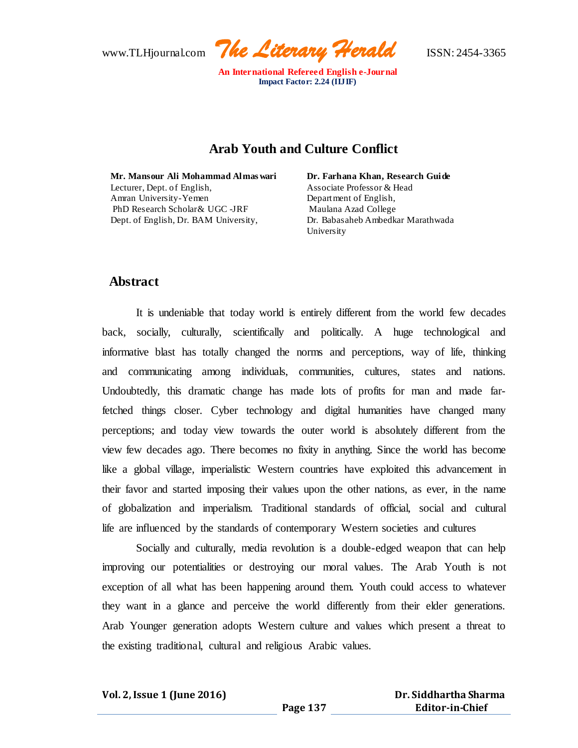

# **Arab Youth and Culture Conflict**

**Mr. Mansour Ali Mohammad Almas wari** Lecturer, Dept. of English, Amran University-Yemen PhD Research Scholar& UGC -JRF Dept. of English, Dr. BAM University,

**Dr. Farhana Khan, Research Guide**  Associate Professor & Head Department of English, Maulana Azad College Dr. Babasaheb Ambedkar Marathwada University

# **Abstract**

It is undeniable that today world is entirely different from the world few decades back, socially, culturally, scientifically and politically. A huge technological and informative blast has totally changed the norms and perceptions, way of life, thinking and communicating among individuals, communities, cultures, states and nations. Undoubtedly, this dramatic change has made lots of profits for man and made farfetched things closer. Cyber technology and digital humanities have changed many perceptions; and today view towards the outer world is absolutely different from the view few decades ago. There becomes no fixity in anything. Since the world has become like a global village, imperialistic Western countries have exploited this advancement in their favor and started imposing their values upon the other nations, as ever, in the name of globalization and imperialism. Traditional standards of official, social and cultural life are influenced by the standards of contemporary Western societies and cultures

Socially and culturally, media revolution is a double-edged weapon that can help improving our potentialities or destroying our moral values. The Arab Youth is not exception of all what has been happening around them. Youth could access to whatever they want in a glance and perceive the world differently from their elder generations. Arab Younger generation adopts Western culture and values which present a threat to the existing traditional, cultural and religious Arabic values.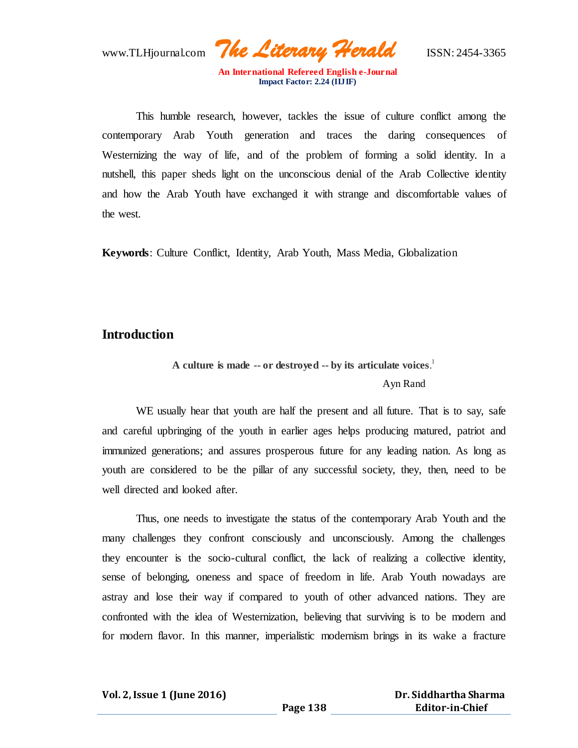www.TLHjournal.com *The Literary Herald*ISSN: 2454-3365

This humble research, however, tackles the issue of culture conflict among the contemporary Arab Youth generation and traces the daring consequences of Westernizing the way of life, and of the problem of forming a solid identity. In a nutshell, this paper sheds light on the unconscious denial of the Arab Collective identity and how the Arab Youth have exchanged it with strange and discomfortable values of the west.

**Keywords**: Culture Conflict, Identity, Arab Youth, Mass Media, Globalization

## **Introduction**

**A culture is made -- or destroyed -- by its articulate voices**. 1

### Ayn Rand

WE usually hear that youth are half the present and all future. That is to say, safe and careful upbringing of the youth in earlier ages helps producing matured, patriot and immunized generations; and assures prosperous future for any leading nation. As long as youth are considered to be the pillar of any successful society, they, then, need to be well directed and looked after.

Thus, one needs to investigate the status of the contemporary Arab Youth and the many challenges they confront consciously and unconsciously. Among the challenges they encounter is the socio-cultural conflict, the lack of realizing a collective identity, sense of belonging, oneness and space of freedom in life. Arab Youth nowadays are astray and lose their way if compared to youth of other advanced nations. They are confronted with the idea of Westernization, believing that surviving is to be modern and for modern flavor. In this manner, imperialistic modernism brings in its wake a fracture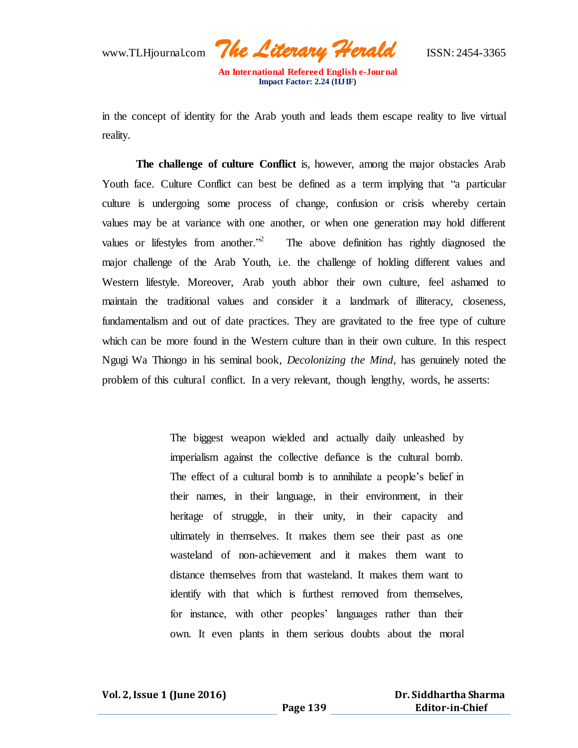www.TLHjournal.com *The Literary Herald*ISSN: 2454-3365

in the concept of identity for the Arab youth and leads them escape reality to live virtual reality.

**The challenge of culture Conflict** is, however, among the major obstacles Arab Youth face. Culture Conflict can best be defined as a term implying that "a particular culture is undergoing some process of change, confusion or crisis whereby certain values may be at variance with one another, or when one generation may hold different values or lifestyles from another.<sup> $2$ </sup> The above definition has rightly diagnosed the major challenge of the Arab Youth, i.e. the challenge of holding different values and Western lifestyle. Moreover, Arab youth abhor their own culture, feel ashamed to maintain the traditional values and consider it a landmark of illiteracy, closeness, fundamentalism and out of date practices. They are gravitated to the free type of culture which can be more found in the Western culture than in their own culture. In this respect Ngugi Wa Thiongo in his seminal book, *Decolonizing the Mind*, has genuinely noted the problem of this cultural conflict. In a very relevant, though lengthy, words, he asserts:

> The biggest weapon wielded and actually daily unleashed by imperialism against the collective defiance is the cultural bomb. The effect of a cultural bomb is to annihilate a people's belief in their names, in their language, in their environment, in their heritage of struggle, in their unity, in their capacity and ultimately in themselves. It makes them see their past as one wasteland of non-achievement and it makes them want to distance themselves from that wasteland. It makes them want to identify with that which is furthest removed from themselves, for instance, with other peoples' languages rather than their own. It even plants in them serious doubts about the moral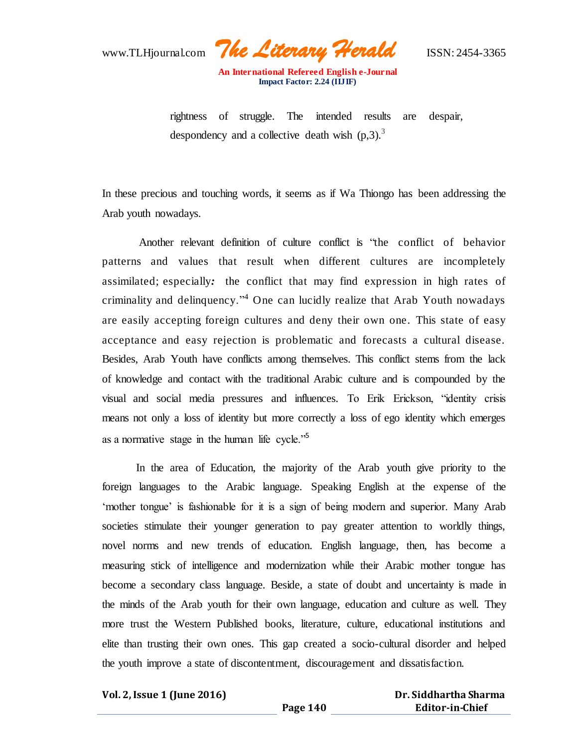www.TLHjournal.com *The Literary Herald*ISSN: 2454-3365

rightness of struggle. The intended results are despair, despondency and a collective death wish  $(p,3)$ .<sup>3</sup>

In these precious and touching words, it seems as if Wa Thiongo has been addressing the Arab youth nowadays.

Another relevant definition of culture conflict is "the conflict of behavior patterns and values that result when different cultures are incompletely assimilated; especially*:* the conflict that may find expression in high rates of criminality and delinquency."<sup>4</sup> One can lucidly realize that Arab Youth nowadays are easily accepting foreign cultures and deny their own one. This state of easy acceptance and easy rejection is problematic and forecasts a cultural disease. Besides, Arab Youth have conflicts among themselves. This conflict stems from the lack of knowledge and contact with the traditional Arabic culture and is compounded by the visual and social media pressures and influences. To Erik Erickson, "identity crisis means not only a loss of identity but more correctly a loss of ego identity which emerges as a normative stage in the human life cycle."<sup>5</sup>

In the area of Education, the majority of the Arab youth give priority to the foreign languages to the Arabic language. Speaking English at the expense of the 'mother tongue' is fashionable for it is a sign of being modern and superior. Many Arab societies stimulate their younger generation to pay greater attention to worldly things, novel norms and new trends of education. English language, then, has become a measuring stick of intelligence and modernization while their Arabic mother tongue has become a secondary class language. Beside, a state of doubt and uncertainty is made in the minds of the Arab youth for their own language, education and culture as well. They more trust the Western Published books, literature, culture, educational institutions and elite than trusting their own ones. This gap created a socio-cultural disorder and helped the youth improve a state of discontentment, discouragement and dissatisfaction.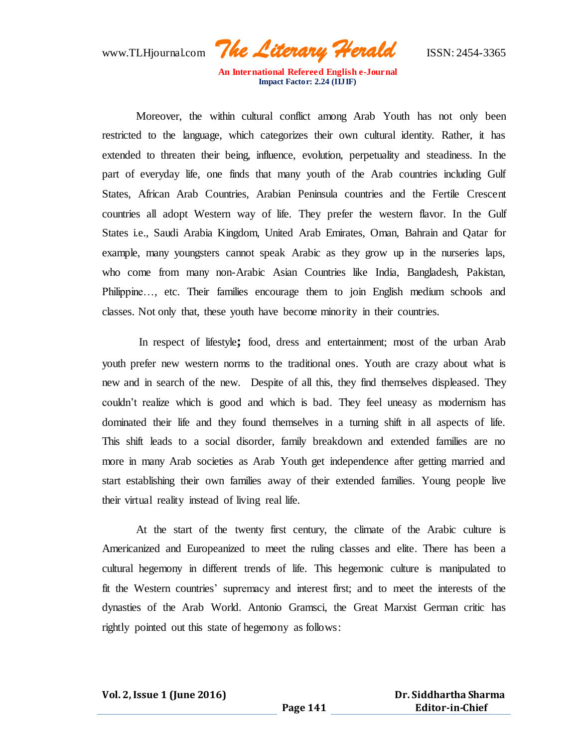www.TLHjournal.com *The Literary Herald*ISSN: 2454-3365

Moreover, the within cultural conflict among Arab Youth has not only been restricted to the language, which categorizes their own cultural identity. Rather, it has extended to threaten their being, influence, evolution, perpetuality and steadiness. In the part of everyday life, one finds that many youth of the Arab countries including Gulf States, African Arab Countries, Arabian Peninsula countries and the Fertile Crescent countries all adopt Western way of life. They prefer the western flavor. In the Gulf States i.e., Saudi Arabia Kingdom, United Arab Emirates, Oman, Bahrain and Qatar for example, many youngsters cannot speak Arabic as they grow up in the nurseries laps, who come from many non-Arabic Asian Countries like India, Bangladesh, Pakistan, Philippine…, etc. Their families encourage them to join English medium schools and classes. Not only that, these youth have become minority in their countries.

In respect of lifestyle**;** food, dress and entertainment; most of the urban Arab youth prefer new western norms to the traditional ones. Youth are crazy about what is new and in search of the new. Despite of all this, they find themselves displeased. They couldn't realize which is good and which is bad. They feel uneasy as modernism has dominated their life and they found themselves in a turning shift in all aspects of life. This shift leads to a social disorder, family breakdown and extended families are no more in many Arab societies as Arab Youth get independence after getting married and start establishing their own families away of their extended families. Young people live their virtual reality instead of living real life.

At the start of the twenty first century, the climate of the Arabic culture is Americanized and Europeanized to meet the ruling classes and elite. There has been a cultural hegemony in different trends of life. This hegemonic culture is manipulated to fit the Western countries' supremacy and interest first; and to meet the interests of the dynasties of the Arab World. Antonio Gramsci, the Great Marxist German critic has rightly pointed out this state of hegemony as follows: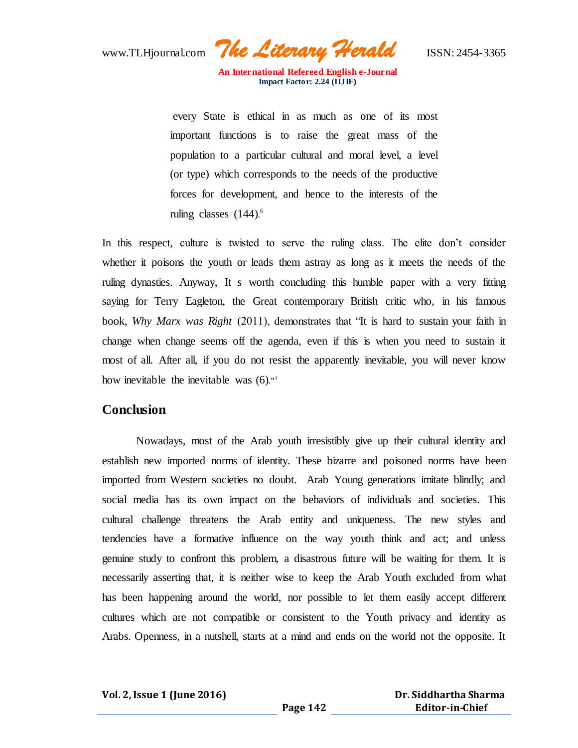www.TLHjournal.com *The Literary Herald*ISSN: 2454-3365

every State is ethical in as much as one of its most important functions is to raise the great mass of the population to a particular cultural and moral level, a level (or type) which corresponds to the needs of the productive forces for development, and hence to the interests of the ruling classes (144).<sup>6</sup>

In this respect, culture is twisted to serve the ruling class. The elite don't consider whether it poisons the youth or leads them astray as long as it meets the needs of the ruling dynasties. Anyway, It s worth concluding this humble paper with a very fitting saying for Terry Eagleton, the Great contemporary British critic who, in his famous book, *Why Marx was Right* (2011), demonstrates that "It is hard to sustain your faith in change when change seems off the agenda, even if this is when you need to sustain it most of all. After all, if you do not resist the apparently inevitable, you will never know how inevitable the inevitable was (6)**."<sup>7</sup>**

## **Conclusion**

Nowadays, most of the Arab youth irresistibly give up their cultural identity and establish new imported norms of identity. These bizarre and poisoned norms have been imported from Western societies no doubt. Arab Young generations imitate blindly; and social media has its own impact on the behaviors of individuals and societies. This cultural challenge threatens the Arab entity and uniqueness. The new styles and tendencies have a formative influence on the way youth think and act; and unless genuine study to confront this problem, a disastrous future will be waiting for them. It is necessarily asserting that, it is neither wise to keep the Arab Youth excluded from what has been happening around the world, nor possible to let them easily accept different cultures which are not compatible or consistent to the Youth privacy and identity as Arabs. Openness, in a nutshell, starts at a mind and ends on the world not the opposite. It

**Vol. 2, Issue 1 (June 2016)**

 **Dr. Siddhartha Sharma Editor-in-Chief**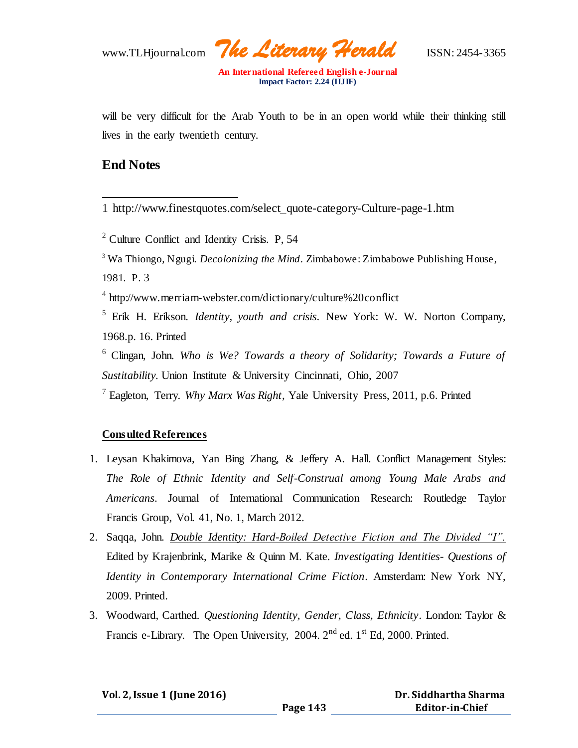www.TLHjournal.com *The Literary Herald*ISSN: 2454-3365

will be very difficult for the Arab Youth to be in an open world while their thinking still lives in the early twentieth century.

## **End Notes**

 $\overline{a}$ 1 http://www.finestquotes.com/select\_quote-category-Culture-page-1.htm

- <sup>2</sup> Culture Conflict and Identity Crisis. P, 54
- <sup>3</sup> Wa Thiongo, Ngugi. *Decolonizing the Mind*. Zimbabowe: Zimbabowe Publishing House, 1981. P. 3

4 http://www.merriam-webster.com/dictionary/culture%20conflict

<sup>5</sup> Erik H. Erikson. *Identity, youth and crisis*. New York: W. W. Norton Company, 1968.p. 16. Printed

<sup>6</sup> Clingan, John. *Who is We? Towards a theory of Solidarity; Towards a Future of Sustitability.* Union Institute & University Cincinnati, Ohio, 2007

<sup>7</sup> Eagleton, Terry. *Why Marx Was Right,* Yale University Press, 2011, p.6. Printed

## **Consulted References**

- 1. Leysan Khakimova, Yan Bing Zhang, & Jeffery A. Hall. Conflict Management Styles: *The Role of Ethnic Identity and Self-Construal among Young Male Arabs and Americans*. Journal of International Communication Research: Routledge Taylor Francis Group, Vol. 41, No. 1, March 2012.
- 2. Saqqa, John. *Double Identity: Hard-Boiled Detective Fiction and The Divided "I".* Edited by Krajenbrink, Marike & Quinn M. Kate. *Investigating Identities- Questions of Identity in Contemporary International Crime Fiction*. Amsterdam: New York NY, 2009. Printed.
- 3. Woodward, Carthed*. Questioning Identity, Gender, Class, Ethnicity*. London: Taylor & Francis e-Library. The Open University,  $2004$ .  $2<sup>nd</sup>$  ed.  $1<sup>st</sup>$  Ed, 2000. Printed.

| Vol. 2, Issue 1 (June 2016) |  |  |  |
|-----------------------------|--|--|--|
|-----------------------------|--|--|--|